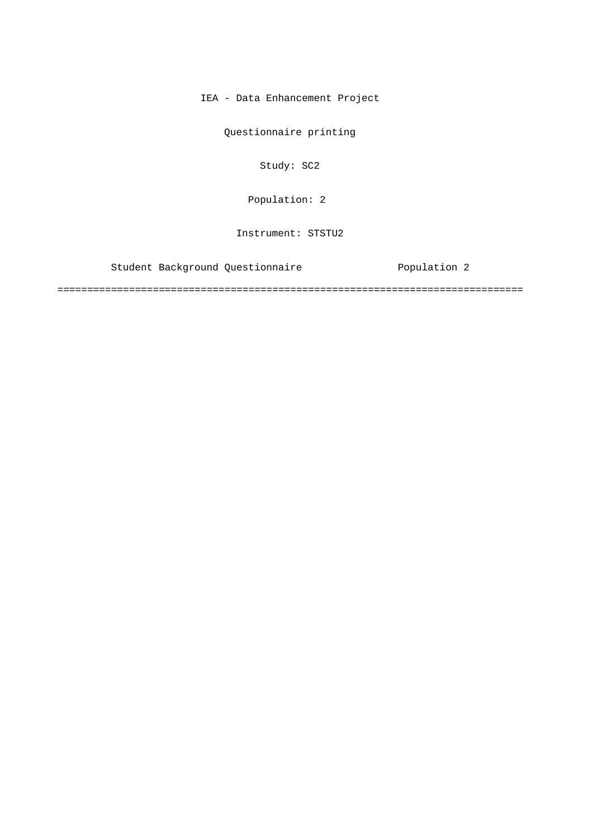IEA - Data Enhancement Project

Questionnaire printing

Study: SC2

Population: 2

Instrument: STSTU2

Student Background Questionnaire Population 2

==============================================================================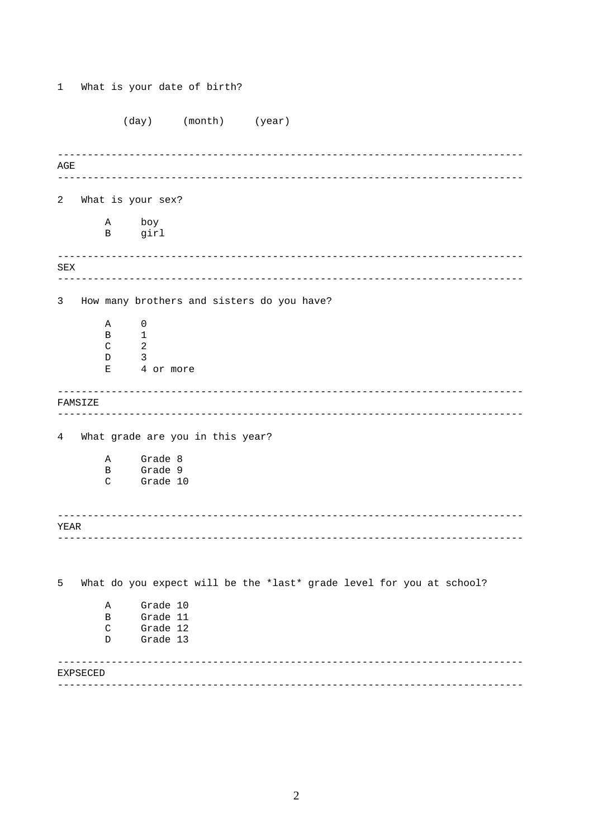$(day)$  (month) (year)  $\mathbb{AGE}$ 2 What is your sex?  $\tt A$ boy  $\mathbf{B}$ girl  ${\tt SEX}$  $\overline{3}$ How many brothers and sisters do you have?  $\mathbb A$  $\overline{0}$  $\overline{B}$  $\mathbf{1}$  $\overline{2}$  $\mathsf{C}$  $\overline{\mathbf{3}}$  $D$ 4 or more  $E$ FAMSIZE 4 What grade are you in this year? Grade 8  $\mathbb{A}$ Grade 9  $\mathbf{B}$ Grade 10  $\mathcal{C}$ YEAR What do you expect will be the \*last\* grade level for you at school? 5  $\mathbb A$ Grade 10  $\mathbf{B}$ Grade 11  $\mathsf{C}^-$ Grade 12  $D$ Grade 13 **EXPSECED** 

What is your date of birth?

 $\mathbf{1}$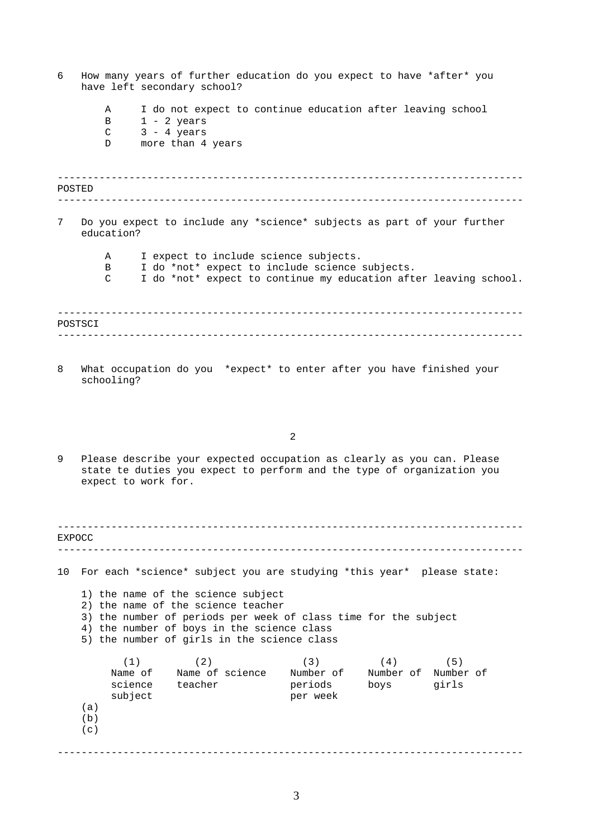<span id="page-2-0"></span>

| 6       | How many years of further education do you expect to have *after* you<br>have left secondary school?                                                                                                                                                                                                              |  |  |  |  |
|---------|-------------------------------------------------------------------------------------------------------------------------------------------------------------------------------------------------------------------------------------------------------------------------------------------------------------------|--|--|--|--|
|         | I do not expect to continue education after leaving school<br>Α<br>$1 - 2 \text{ years}$<br>В<br>$3 - 4 \text{ years}$<br>C<br>more than 4 years<br>D                                                                                                                                                             |  |  |  |  |
| POSTED  |                                                                                                                                                                                                                                                                                                                   |  |  |  |  |
| 7       | Do you expect to include any *science* subjects as part of your further<br>education?                                                                                                                                                                                                                             |  |  |  |  |
|         | I expect to include science subjects.<br>Α<br>I do *not* expect to include science subjects.<br>В<br>I do *not* expect to continue my education after leaving school.<br>C                                                                                                                                        |  |  |  |  |
| POSTSCI |                                                                                                                                                                                                                                                                                                                   |  |  |  |  |
| 8       | What occupation do you *expect* to enter after you have finished your<br>schooling?                                                                                                                                                                                                                               |  |  |  |  |
|         | 2                                                                                                                                                                                                                                                                                                                 |  |  |  |  |
| 9       | Please describe your expected occupation as clearly as you can. Please<br>state te duties you expect to perform and the type of organization you<br>expect to work for.                                                                                                                                           |  |  |  |  |
| EXPOCC  |                                                                                                                                                                                                                                                                                                                   |  |  |  |  |
| 10      | For each *science* subject you are studying *this year* please state:<br>1) the name of the science subject<br>2) the name of the science teacher<br>3) the number of periods per week of class time for the subject<br>4) the number of boys in the science class<br>5) the number of girls in the science class |  |  |  |  |
|         | (2)<br>(1)<br>(3)<br>(5)<br>(4)<br>Name of Mame of science Number of Number of Number of<br>science teacher<br>boys<br>periods<br>girls<br>subject<br>per week<br>(a)<br>(b)<br>(c)                                                                                                                               |  |  |  |  |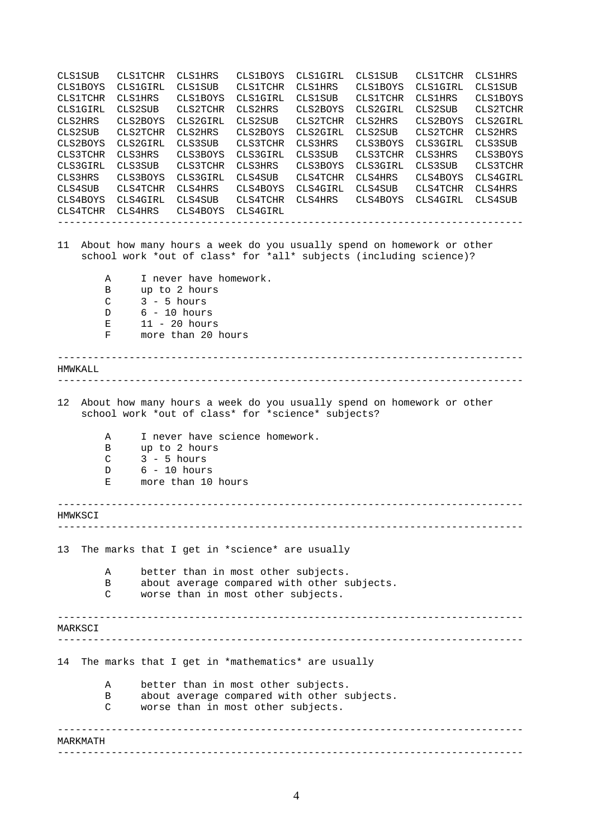------------------------------------------------------------------------------ ------------------------------------------------------------------------------ ------------------------------------------------------------------------------ ------------------------------------------------------------------------------ ------------------------------------------------------------------------------ ------------------------------------------------------------------------------ ------------------------------------------------------------------------------ ------------------------------------------------------------------------------ ------------------------------------------------------------------------------ CLS1SUB CLS1TCHR CLS1HRS CLS1BOYS CLS1GIRL CLS1SUB CLS1TCHR CLS1HRS CLS1BOYS CLS1GIRL CLS1SUB CLS1TCHR CLS1HRS CLS1BOYS CLS1GIRL CLS1SUB CLS1TCHR CLS1HRS CLS1BOYS CLS1GIRL CLS1SUB CLS1TCHR CLS1HRS CLS1BOYS CLS1GIRL CLS2SUB CLS2TCHR CLS2HRS CLS2BOYS CLS2GIRL CLS2SUB CLS2TCHR CLS2HRS CLS2BOYS CLS2GIRL CLS2SUB CLS2TCHR CLS2HRS CLS2BOYS CLS2GIRL CLS2SUB CLS2TCHR CLS2HRS CLS2BOYS CLS2GIRL CLS2SUB CLS2TCHR CLS2HRS CLS2BOYS CLS2GIRL CLS3SUB CLS3TCHR CLS3HRS CLS3BOYS CLS3GIRL CLS3SUB CLS3TCHR CLS3HRS CLS3BOYS CLS3GIRL CLS3SUB CLS3TCHR CLS3HRS CLS3BOYS CLS3GIRL CLS3SUB CLS3TCHR CLS3HRS CLS3BOYS CLS3GIRL CLS3SUB CLS3TCHR CLS3HRS CLS3BOYS CLS3GIRL CLS4SUB CLS4TCHR CLS4HRS CLS4BOYS CLS4GIRL CLS4SUB CLS4TCHR CLS4HRS CLS4BOYS CLS4GIRL CLS4SUB CLS4TCHR CLS4HRS CLS4BOYS CLS4GIRL CLS4SUB CLS4TCHR CLS4HRS CLS4BOYS CLS4GIRL CLS4SUB CLS4TCHR CLS4HRS CLS4BOYS CLS4GIRL 11 About how many hours a week do you usually spend on homework or other school work \*out of class\* for \*all\* subjects (including science)? A I never have homework. B up to 2 hours C 3 - 5 hours D 6 - 10 hours E 11 - 20 hours F more than 20 hours HMWKALL. 12 About how many hours a week do you usually spend on homework or other school work \*out of class\* for \*science\* subjects? A I never have science homework. B up to 2 hours C 3 - 5 hours D 6 - 10 hours E more than 10 hours **HMWKSCT** 13 The marks that I get in \*science\* are usually A better than in most other subjects. B about average compared with other subjects. C worse than in most other subjects. MARKSCI 14 The marks that I get in \*mathematics\* are usually A better than in most other subjects. B about average compared with other subjects. C worse than in most other subjects. MARKMATH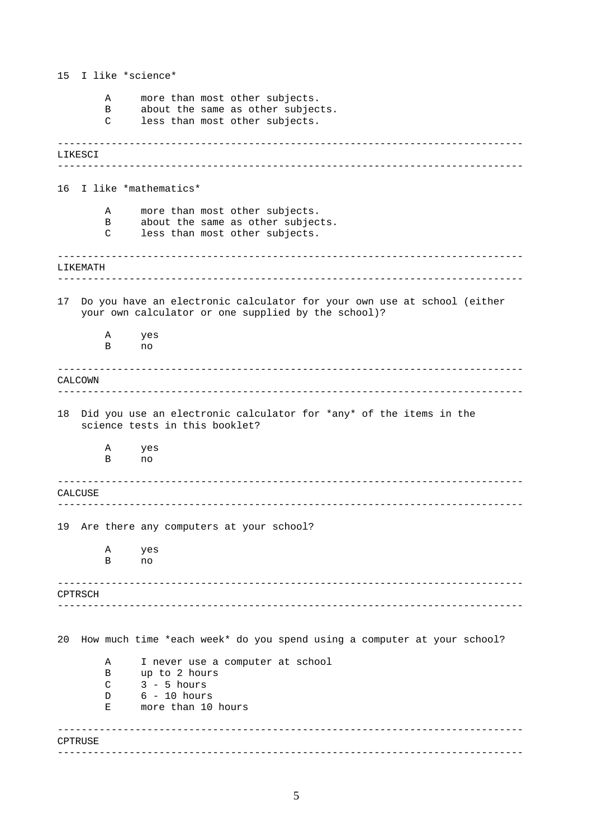------------------------------------------------------------------------------ ------------------------------------------------------------------------------ ------------------------------------------------------------------------------ ------------------------------------------------------------------------------ ------------------------------------------------------------------------------ ------------------------------------------------------------------------------ ------------------------------------------------------------------------------ ------------------------------------------------------------------------------ ------------------------------------------------------------------------------ ------------------------------------------------------------------------------ ------------------------------------------------------------------------------ ------------------------------------------------------------------------------ 15 I like \*science\* A more than most other subjects. B about the same as other subjects. C less than most other subjects. LIKESCI 16 I like \*mathematics\* A more than most other subjects. B about the same as other subjects. C less than most other subjects. LIKEMATH 17 Do you have an electronic calculator for your own use at school (either your own calculator or one supplied by the school)? A yes B no CALCOWN 18 Did you use an electronic calculator for \*any\* of the items in the science tests in this booklet? A yes B no CALCUSE 19 Are there any computers at your school? A yes B no CPTRSCH 20 How much time \*each week\* do you spend using a computer at your school? A I never use a computer at school B up to 2 hours  $C$   $3 - 5$  hours D 6 - 10 hours E more than 10 hours CPTRUSE.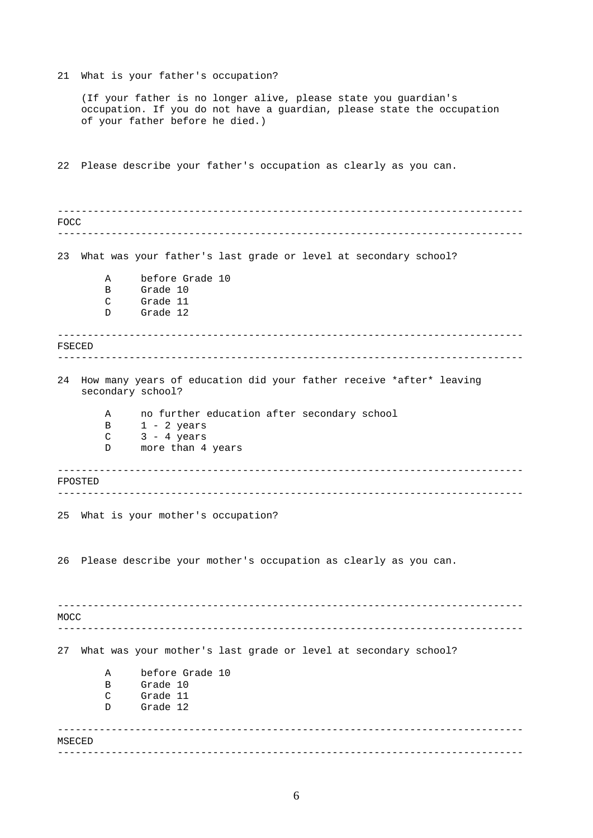21 What is your father's occupation?

(If your father is no longer alive, please state you guardian's occupation. If you do not have a guardian, please state the occupation of your father before he died.)

22 Please describe your father's occupation as clearly as you can.

------------------------------------------------------------------------------ ------------------------------------------------------------------------------  $-$ ------------------------------------------------------------------------------ ------------------------------------------------------------------------------ ------------------------------------------------------------------------------ ------------------------------------------------------------------------------ ------------------------------------------------------------------------------ ------------------------------------------------------------------------------ ------------------------------------------------------------------------------ FOCC 23 What was your father's last grade or level at secondary school? A before Grade 10 B Grade 10 C Grade 11 D Grade 12 FSECED 24 How many years of education did your father receive \*after\* leaving secondary school? A no further education after secondary school B 1 - 2 years  $C$  3 - 4 years D more than 4 years FPOSTED 25 What is your mother's occupation? 26 Please describe your mother's occupation as clearly as you can. MOCC 27 What was your mother's last grade or level at secondary school? A before Grade 10 B Grade 10 C Grade 11 D Grade 12 MSECED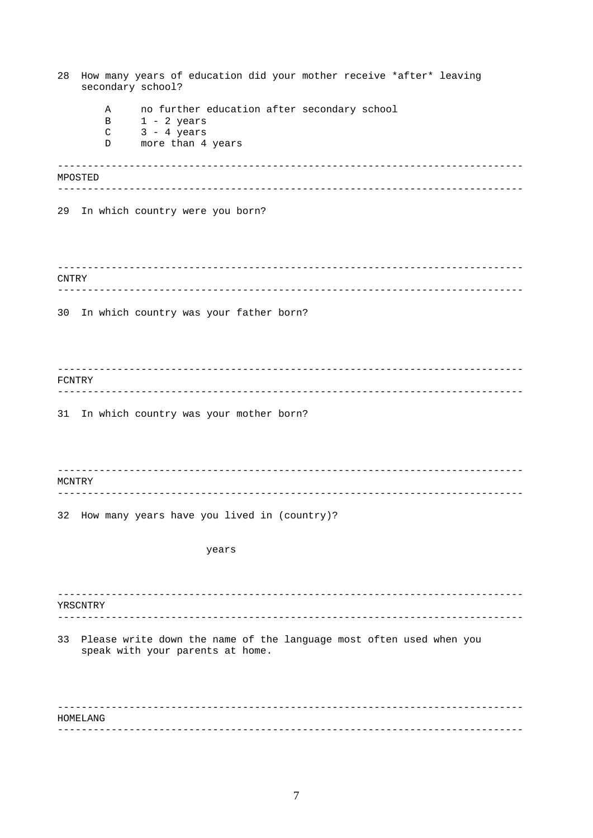| How many years of education did your mother receive *after* leaving<br>28<br>secondary school? |                            |                                                                                                         |  |  |
|------------------------------------------------------------------------------------------------|----------------------------|---------------------------------------------------------------------------------------------------------|--|--|
|                                                                                                | Α<br>B<br>$\mathsf C$<br>D | no further education after secondary school<br>$1 - 2$ years<br>$3 - 4$ years<br>more than 4 years      |  |  |
|                                                                                                | MPOSTED                    |                                                                                                         |  |  |
|                                                                                                |                            |                                                                                                         |  |  |
| 29                                                                                             |                            | In which country were you born?                                                                         |  |  |
| CNTRY                                                                                          |                            |                                                                                                         |  |  |
| 30                                                                                             |                            | In which country was your father born?                                                                  |  |  |
|                                                                                                |                            |                                                                                                         |  |  |
| FCNTRY                                                                                         |                            |                                                                                                         |  |  |
|                                                                                                |                            |                                                                                                         |  |  |
| 31                                                                                             |                            | In which country was your mother born?                                                                  |  |  |
| MCNTRY                                                                                         |                            |                                                                                                         |  |  |
|                                                                                                |                            | 32 How many years have you lived in (country)?                                                          |  |  |
|                                                                                                |                            |                                                                                                         |  |  |
|                                                                                                |                            | years                                                                                                   |  |  |
|                                                                                                | YRSCNTRY                   |                                                                                                         |  |  |
|                                                                                                |                            |                                                                                                         |  |  |
| 33                                                                                             |                            | Please write down the name of the language most often used when you<br>speak with your parents at home. |  |  |
|                                                                                                |                            |                                                                                                         |  |  |
| HOMELANG                                                                                       |                            |                                                                                                         |  |  |